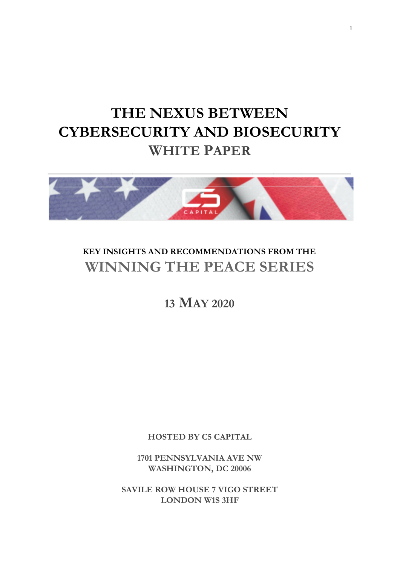# **THE NEXUS BETWEEN CYBERSECURITY AND BIOSECURITY WHITE PAPER**



### **KEY INSIGHTS AND RECOMMENDATIONS FROM THE WINNING THE PEACE SERIES**

### **13 MAY 2020**

**HOSTED BY C5 CAPITAL**

**1701 PENNSYLVANIA AVE NW WASHINGTON, DC 20006**

**SAVILE ROW HOUSE 7 VIGO STREET LONDON W1S 3HF**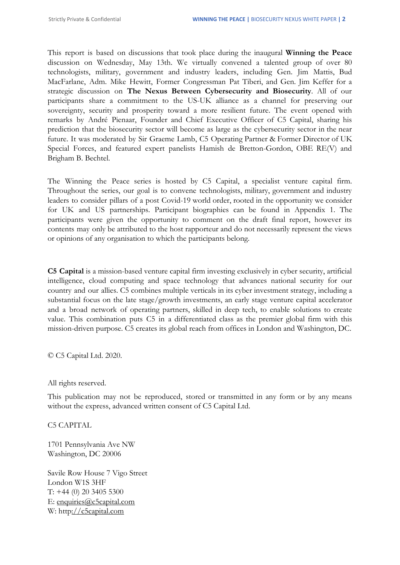This report is based on discussions that took place during the inaugural **Winning the Peace** discussion on Wednesday, May 13th. We virtually convened a talented group of over 80 technologists, military, government and industry leaders, including Gen. Jim Mattis, Bud MacFarlane, Adm. Mike Hewitt, Former Congressman Pat Tiberi, and Gen. Jim Keffer for a strategic discussion on **The Nexus Between Cybersecurity and Biosecurity**. All of our participants share a commitment to the US-UK alliance as a channel for preserving our sovereignty, security and prosperity toward a more resilient future. The event opened with remarks by André Pienaar, Founder and Chief Executive Officer of C5 Capital, sharing his prediction that the biosecurity sector will become as large as the cybersecurity sector in the near future. It was moderated by Sir Graeme Lamb, C5 Operating Partner & Former Director of UK Special Forces, and featured expert panelists Hamish de Bretton-Gordon, OBE RE(V) and Brigham B. Bechtel.

The Winning the Peace series is hosted by C5 Capital, a specialist venture capital firm. Throughout the series, our goal is to convene technologists, military, government and industry leaders to consider pillars of a post Covid-19 world order, rooted in the opportunity we consider for UK and US partnerships. Participant biographies can be found in Appendix 1. The participants were given the opportunity to comment on the draft final report, however its contents may only be attributed to the host rapporteur and do not necessarily represent the views or opinions of any organisation to which the participants belong.

**C5 Capital** is a mission-based venture capital firm investing exclusively in cyber security, artificial intelligence, cloud computing and space technology that advances national security for our country and our allies. C5 combines multiple verticals in its cyber investment strategy, including a substantial focus on the late stage/growth investments, an early stage venture capital accelerator and a broad network of operating partners, skilled in deep tech, to enable solutions to create value. This combination puts C5 in a differentiated class as the premier global firm with this mission-driven purpose. C5 creates its global reach from offices in London and Washington, DC.

© C5 Capital Ltd. 2020.

All rights reserved.

This publication may not be reproduced, stored or transmitted in any form or by any means without the express, advanced written consent of C5 Capital Ltd.

C5 CAPITAL

1701 Pennsylvania Ave NW Washington, DC 20006

Savile Row House 7 Vigo Street London W1S 3HF T: +44 (0) 20 3405 5300 E: enquiries@c5capital.com W: http://c5capital.com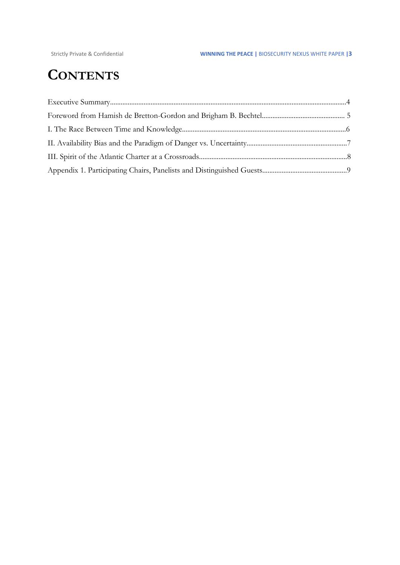## **CONTENTS**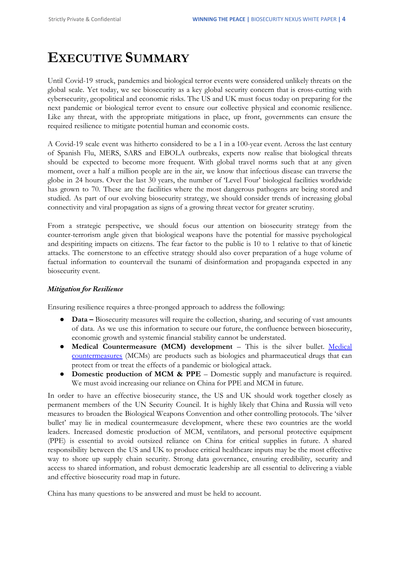## **EXECUTIVE SUMMARY**

Until Covid-19 struck, pandemics and biological terror events were considered unlikely threats on the global scale. Yet today, we see biosecurity as a key global security concern that is cross-cutting with cybersecurity, geopolitical and economic risks. The US and UK must focus today on preparing for the next pandemic or biological terror event to ensure our collective physical and economic resilience. Like any threat, with the appropriate mitigations in place, up front, governments can ensure the required resilience to mitigate potential human and economic costs.

A Covid-19 scale event was hitherto considered to be a 1 in a 100-year event. Across the last century of Spanish Flu, MERS, SARS and EBOLA outbreaks, experts now realise that biological threats should be expected to become more frequent. With global travel norms such that at any given moment, over a half a million people are in the air, we know that infectious disease can traverse the globe in 24 hours. Over the last 30 years, the number of 'Level Four' biological facilities worldwide has grown to 70. These are the facilities where the most dangerous pathogens are being stored and studied. As part of our evolving biosecurity strategy, we should consider trends of increasing global connectivity and viral propagation as signs of a growing threat vector for greater scrutiny.

From a strategic perspective, we should focus our attention on biosecurity strategy from the counter-terrorism angle given that biological weapons have the potential for massive psychological and despiriting impacts on citizens. The fear factor to the public is 10 to 1 relative to that of kinetic attacks. The cornerstone to an effective strategy should also cover preparation of a huge volume of factual information to countervail the tsunami of disinformation and propaganda expected in any biosecurity event.

#### *Mitigation for Resilience*

Ensuring resilience requires a three-pronged approach to address the following:

- **Data** Biosecurity measures will require the collection, sharing, and securing of vast amounts of data. As we use this information to secure our future, the confluence between biosecurity, economic growth and systemic financial stability cannot be understated.
- **Medical Countermeasure (MCM) development** This is the silver bullet. Medical countermeasures (MCMs) are products such as biologics and pharmaceutical drugs that can protect from or treat the effects of a pandemic or biological attack.
- **Domestic production of MCM & PPE** Domestic supply and manufacture is required. We must avoid increasing our reliance on China for PPE and MCM in future.

In order to have an effective biosecurity stance, the US and UK should work together closely as permanent members of the UN Security Council. It is highly likely that China and Russia will veto measures to broaden the Biological Weapons Convention and other controlling protocols. The 'silver bullet' may lie in medical countermeasure development, where these two countries are the world leaders. Increased domestic production of MCM, ventilators, and personal protective equipment (PPE) is essential to avoid outsized reliance on China for critical supplies in future. A shared responsibility between the US and UK to produce critical healthcare inputs may be the most effective way to shore up supply chain security. Strong data governance, ensuring credibility, security and access to shared information, and robust democratic leadership are all essential to delivering a viable and effective biosecurity road map in future.

China has many questions to be answered and must be held to account.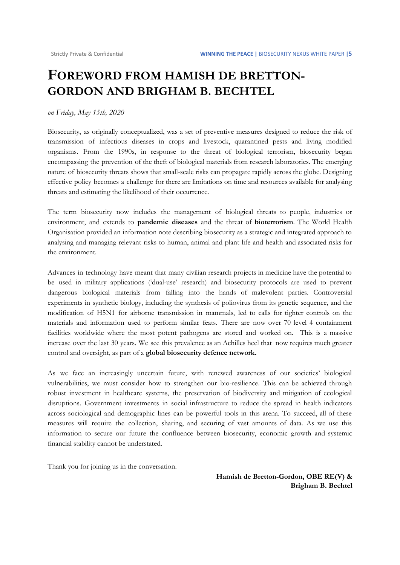### **FOREWORD FROM HAMISH DE BRETTON-GORDON AND BRIGHAM B. BECHTEL**

#### *on Friday, May 15th, 2020*

Biosecurity, as originally conceptualized, was a set of preventive measures designed to reduce the risk of transmission of infectious diseases in crops and livestock, quarantined pests and living modified organisms. From the 1990s, in response to the threat of biological terrorism, biosecurity began encompassing the prevention of the theft of biological materials from research laboratories. The emerging nature of biosecurity threats shows that small-scale risks can propagate rapidly across the globe. Designing effective policy becomes a challenge for there are limitations on time and resources available for analysing threats and estimating the likelihood of their occurrence.

The term biosecurity now includes the management of biological threats to people, industries or environment, and extends to **pandemic diseases** and the threat of **bioterrorism**. The World Health Organisation provided an information note describing biosecurity as a strategic and integrated approach to analysing and managing relevant risks to human, animal and plant life and health and associated risks for the environment.

Advances in technology have meant that many civilian research projects in medicine have the potential to be used in military applications ('dual-use' research) and biosecurity protocols are used to prevent dangerous biological materials from falling into the hands of malevolent parties. Controversial experiments in synthetic biology, including the synthesis of poliovirus from its genetic sequence, and the modification of H5N1 for airborne transmission in mammals, led to calls for tighter controls on the materials and information used to perform similar feats. There are now over 70 level 4 containment facilities worldwide where the most potent pathogens are stored and worked on. This is a massive increase over the last 30 years. We see this prevalence as an Achilles heel that now requires much greater control and oversight, as part of a **global biosecurity defence network.**

As we face an increasingly uncertain future, with renewed awareness of our societies' biological vulnerabilities, we must consider how to strengthen our bio-resilience. This can be achieved through robust investment in healthcare systems, the preservation of biodiversity and mitigation of ecological disruptions. Government investments in social infrastructure to reduce the spread in health indicators across sociological and demographic lines can be powerful tools in this arena. To succeed, all of these measures will require the collection, sharing, and securing of vast amounts of data. As we use this information to secure our future the confluence between biosecurity, economic growth and systemic financial stability cannot be understated.

Thank you for joining us in the conversation.

**Hamish de Bretton-Gordon, OBE RE(V) & Brigham B. Bechtel**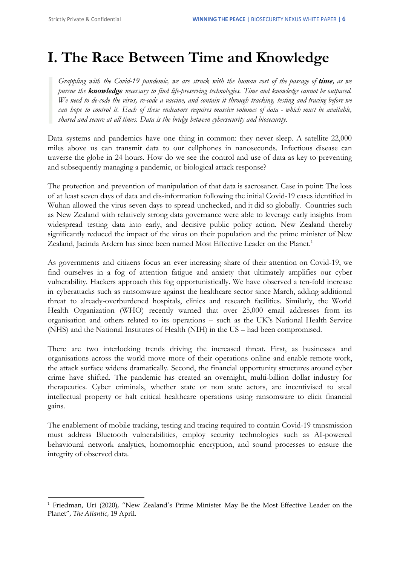# **I. The Race Between Time and Knowledge**

Grappling with the Covid-19 pandemic, we are struck with the human cost of the passage of time, as we *pursue the knowledge necessary to find life-preserving technologies. Time and knowledge cannot be outpaced.* We need to de-code the virus, re-code a vaccine, and contain it through tracking, testing and tracing before we can hope to control it. Each of these endeavors requires massive volumes of data - which must be available, *shared and secure at all times. Data is the bridge between cybersecurity and biosecurity.*

Data systems and pandemics have one thing in common: they never sleep. A satellite 22,000 miles above us can transmit data to our cellphones in nanoseconds. Infectious disease can traverse the globe in 24 hours. How do we see the control and use of data as key to preventing and subsequently managing a pandemic, or biological attack response?

The protection and prevention of manipulation of that data is sacrosanct. Case in point: The loss of at least seven days of data and dis-information following the initial Covid-19 cases identified in Wuhan allowed the virus seven days to spread unchecked, and it did so globally. Countries such as New Zealand with relatively strong data governance were able to leverage early insights from widespread testing data into early, and decisive public policy action. New Zealand thereby significantly reduced the impact of the virus on their population and the prime minister of New Zealand, Jacinda Ardern has since been named Most Effective Leader on the Planet.<sup>1</sup>

As governments and citizens focus an ever increasing share of their attention on Covid-19, we find ourselves in a fog of attention fatigue and anxiety that ultimately amplifies our cyber vulnerability. Hackers approach this fog opportunistically. We have observed a ten-fold increase in cyberattacks such as ransomware against the healthcare sector since March, adding additional threat to already-overburdened hospitals, clinics and research facilities. Similarly, the World Health Organization (WHO) recently warned that over 25,000 email addresses from its organisation and others related to its operations – such as the UK's National Health Service (NHS) and the National Institutes of Health (NIH) in the US – had been compromised.

There are two interlocking trends driving the increased threat. First, as businesses and organisations across the world move more of their operations online and enable remote work, the attack surface widens dramatically. Second, the financial opportunity structures around cyber crime have shifted. The pandemic has created an overnight, multi-billion dollar industry for therapeutics. Cyber criminals, whether state or non state actors, are incentivised to steal intellectual property or halt critical healthcare operations using ransomware to elicit financial gains.

The enablement of mobile tracking, testing and tracing required to contain Covid-19 transmission must address Bluetooth vulnerabilities, employ security technologies such as AI-powered behavioural network analytics, homomorphic encryption, and sound processes to ensure the integrity of observed data.

<sup>&</sup>lt;sup>1</sup> Friedman, Uri (2020), "New Zealand's Prime Minister May Be the Most Effective Leader on the Planet", *The Atlantic*, 19 April.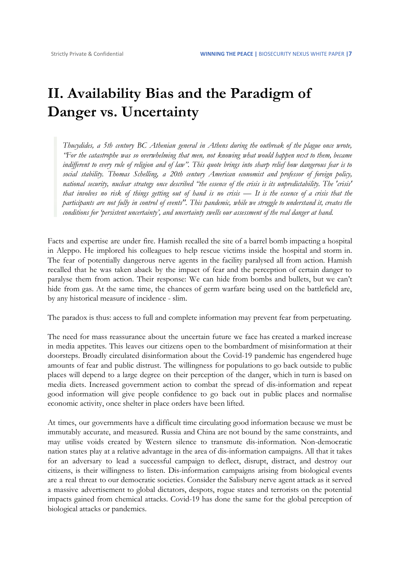## **II. Availability Bias and the Paradigm of Danger vs. Uncertainty**

*Thucydides, a 5th century BC Athenian general in Athens during the outbreak of the plague once wrote, "For the catastrophe was so overwhelming that men, not knowing what would happen next to them, became* indifferent to every rule of religion and of law". This quote brings into sharp relief how dangerous fear is to *social stability. Thomas Schelling, a 20th century American economist and professor of foreign policy,* national security, nuclear strategy once described "the essence of the crisis is its unpredictability. The 'crisis' that involves no risk of things getting out of hand is no crisis — It is the essence of a crisis that the participants are not fully in control of events". This pandemic, while we struggle to understand it, creates the *conditions for 'persistent uncertainty', and uncertainty swells our assessment of the real danger at hand.*

Facts and expertise are under fire. Hamish recalled the site of a barrel bomb impacting a hospital in Aleppo. He implored his colleagues to help rescue victims inside the hospital and storm in. The fear of potentially dangerous nerve agents in the facility paralysed all from action. Hamish recalled that he was taken aback by the impact of fear and the perception of certain danger to paralyse them from action. Their response: We can hide from bombs and bullets, but we can't hide from gas. At the same time, the chances of germ warfare being used on the battlefield are, by any historical measure of incidence - slim.

The paradox is thus: access to full and complete information may prevent fear from perpetuating.

The need for mass reassurance about the uncertain future we face has created a marked increase in media appetites. This leaves our citizens open to the bombardment of misinformation at their doorsteps. Broadly circulated disinformation about the Covid-19 pandemic has engendered huge amounts of fear and public distrust. The willingness for populations to go back outside to public places will depend to a large degree on their perception of the danger, which in turn is based on media diets. Increased government action to combat the spread of dis-information and repeat good information will give people confidence to go back out in public places and normalise economic activity, once shelter in place orders have been lifted.

At times, our governments have a difficult time circulating good information because we must be immutably accurate, and measured. Russia and China are not bound by the same constraints, and may utilise voids created by Western silence to transmute dis-information. Non-democratic nation states play at a relative advantage in the area of dis-information campaigns. All that it takes for an adversary to lead a successful campaign to deflect, disrupt, distract, and destroy our citizens, is their willingness to listen. Dis-information campaigns arising from biological events are a real threat to our democratic societies. Consider the Salisbury nerve agent attack as it served a massive advertisement to global dictators, despots, rogue states and terrorists on the potential impacts gained from chemical attacks. Covid-19 has done the same for the global perception of biological attacks or pandemics.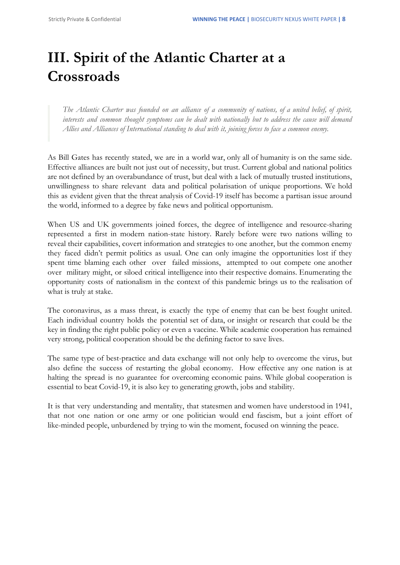# **III. Spirit of the Atlantic Charter at a Crossroads**

The Atlantic Charter was founded on an alliance of a community of nations, of a united belief, of spirit, *interests and common thought symptoms can be dealt with nationally but to address the cause will demand Allies and Alliances of International standing to deal with it, joining forces to face a common enemy.*

As Bill Gates has recently stated, we are in a world war, only all of humanity is on the same side. Effective alliances are built not just out of necessity, but trust. Current global and national politics are not defined by an overabundance of trust, but deal with a lack of mutually trusted institutions, unwillingness to share relevant data and political polarisation of unique proportions. We hold this as evident given that the threat analysis of Covid-19 itself has become a partisan issue around the world, informed to a degree by fake news and political opportunism.

When US and UK governments joined forces, the degree of intelligence and resource-sharing represented a first in modern nation-state history. Rarely before were two nations willing to reveal their capabilities, covert information and strategies to one another, but the common enemy they faced didn't permit politics as usual. One can only imagine the opportunities lost if they spent time blaming each other over failed missions, attempted to out compete one another over military might, or siloed critical intelligence into their respective domains. Enumerating the opportunity costs of nationalism in the context of this pandemic brings us to the realisation of what is truly at stake.

The coronavirus, as a mass threat, is exactly the type of enemy that can be best fought united. Each individual country holds the potential set of data, or insight or research that could be the key in finding the right public policy or even a vaccine. While academic cooperation has remained very strong, political cooperation should be the defining factor to save lives.

The same type of best-practice and data exchange will not only help to overcome the virus, but also define the success of restarting the global economy. How effective any one nation is at halting the spread is no guarantee for overcoming economic pains. While global cooperation is essential to beat Covid-19, it is also key to generating growth, jobs and stability.

It is that very understanding and mentality, that statesmen and women have understood in 1941, that not one nation or one army or one politician would end fascism, but a joint effort of like-minded people, unburdened by trying to win the moment, focused on winning the peace.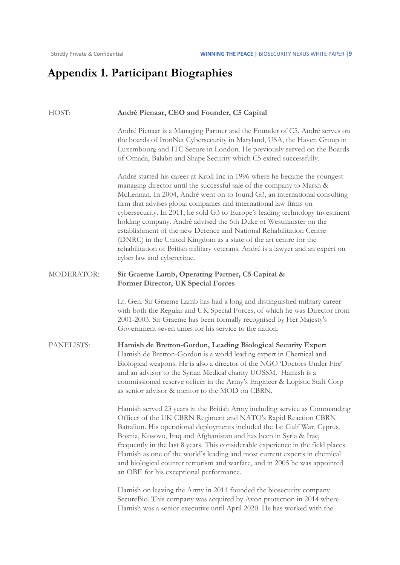## **Appendix 1. Participant Biographies**

| HOST:      | André Pienaar, CEO and Founder, C5 Capital                                                                                                                                                                                                                                                                                                                                                                                                                                                                                                                                                                                                                                                                             |
|------------|------------------------------------------------------------------------------------------------------------------------------------------------------------------------------------------------------------------------------------------------------------------------------------------------------------------------------------------------------------------------------------------------------------------------------------------------------------------------------------------------------------------------------------------------------------------------------------------------------------------------------------------------------------------------------------------------------------------------|
|            | André Pienaar is a Managing Partner and the Founder of C5. André serves on<br>the boards of IronNet Cybersecurity in Maryland, USA, the Haven Group in<br>Luxembourg and ITC Secure in London. He previously served on the Boards<br>of Omada, Balabit and Shape Security which C5 exited successfully.                                                                                                                                                                                                                                                                                                                                                                                                                |
|            | André started his career at Kroll Inc in 1996 where he became the youngest<br>managing director until the successful sale of the company to Marsh &<br>McLennan. In 2004, André went on to found G3, an international consulting<br>firm that advises global companies and international law firms on<br>cybersecurity. In 2011, he sold G3 to Europe's leading technology investment<br>holding company. André advised the 6th Duke of Westminster on the<br>establishment of the new Defence and National Rehabilitation Centre<br>(DNRC) in the United Kingdom as a state of the art centre for the<br>rehabilitation of British military veterans. André is a lawyer and an expert on<br>cyber law and cybercrime. |
| MODERATOR: | Sir Graeme Lamb, Operating Partner, C5 Capital &<br>Former Director, UK Special Forces                                                                                                                                                                                                                                                                                                                                                                                                                                                                                                                                                                                                                                 |
|            | Lt. Gen. Sir Graeme Lamb has had a long and distinguished military career<br>with both the Regular and UK Special Forces, of which he was Director from<br>2001-2003. Sir Graeme has been formally recognised by Her Majesty's<br>Government seven times for his service to the nation.                                                                                                                                                                                                                                                                                                                                                                                                                                |
| PANELISTS: | Hamish de Bretton-Gordon, Leading Biological Security Expert<br>Hamish de Bretton-Gordon is a world leading expert in Chemical and<br>Biological weapons. He is also a director of the NGO 'Doctors Under Fire'<br>and an advisor to the Syrian Medical charity UOSSM. Hamish is a<br>commissioned reserve officer in the Army's Engineer & Logistic Staff Corp<br>as senior advisor & mentor to the MOD on CBRN.                                                                                                                                                                                                                                                                                                      |
|            | Hamish served 23 years in the British Army including service as Commanding<br>Officer of the UK CBRN Regiment and NATO's Rapid Reaction CBRN<br>Battalion. His operational deployments included the 1st Gulf War, Cyprus,<br>Bosnia, Kosovo, Iraq and Afghanistan and has been in Syria & Iraq<br>frequently in the last 8 years. This considerable experience in the field places<br>Hamish as one of the world's leading and most current experts in chemical<br>and biological counter terrorism and warfare, and in 2005 he was appointed<br>an OBE for his exceptional performance.                                                                                                                               |
|            | Hamish on leaving the Army in 2011 founded the biosecurity company<br>SecureBio. This company was acquired by Avon protection in 2014 where<br>Hamish was a senior executive until April 2020. He has worked with the                                                                                                                                                                                                                                                                                                                                                                                                                                                                                                  |